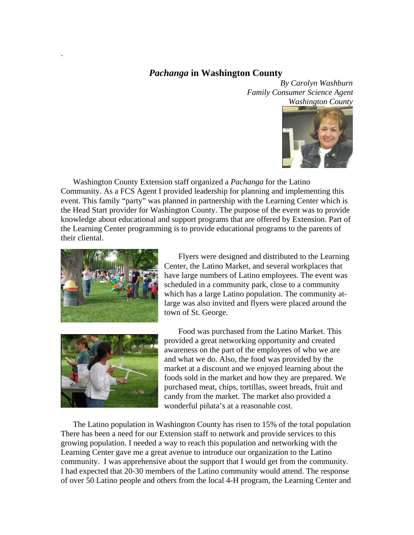## *Pachanga* **in Washington County**

*By Carolyn Washburn Family Consumer Science Agent Washington County* 



Washington County Extension staff organized a *Pachanga* for the Latino Community. As a FCS Agent I provided leadership for planning and implementing this event. This family "party" was planned in partnership with the Learning Center which is the Head Start provider for Washington County. The purpose of the event was to provide knowledge about educational and support programs that are offered by Extension. Part of the Learning Center programming is to provide educational programs to the parents of their cliental.



.

 Flyers were designed and distributed to the Learning Center, the Latino Market, and several workplaces that have large numbers of Latino employees. The event was scheduled in a community park, close to a community which has a large Latino population. The community atlarge was also invited and flyers were placed around the town of St. George.



 Food was purchased from the Latino Market. This provided a great networking opportunity and created awareness on the part of the employees of who we are and what we do. Also, the food was provided by the market at a discount and we enjoyed learning about the foods sold in the market and how they are prepared. We purchased meat, chips, tortillas, sweet breads, fruit and candy from the market. The market also provided a wonderful piñata's at a reasonable cost.

The Latino population in Washington County has risen to 15% of the total population There has been a need for our Extension staff to network and provide services to this growing population. I needed a way to reach this population and networking with the Learning Center gave me a great avenue to introduce our organization to the Latino community. I was apprehensive about the support that I would get from the community. I had expected that 20-30 members of the Latino community would attend. The response of over 50 Latino people and others from the local 4-H program, the Learning Center and